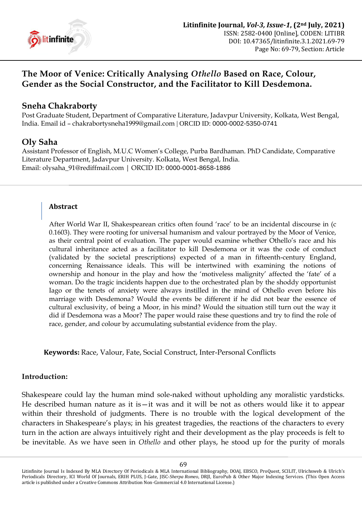

# **The Moor of Venice: Critically Analysing** *Othello* **Based on Race, Colour, Gender as the Social Constructor, and the Facilitator to Kill Desdemona.**

# **Sneha Chakraborty**

Post Graduate Student, Department of Comparative Literature, Jadavpur University, Kolkata, West Bengal, India. Email id – [chakrabortysneha1999@gmail.com](mailto:chakrabortysneha1999@gmail.com) | ORCID ID: [0000-0002-5350-0741](https://orchid.org/0000-0002-5350-0741)

# **Oly Saha**

Assistant Professor of English, M.U.C Women's College, Purba Bardhaman. PhD Candidate, Comparative Literature Department, Jadavpur University. Kolkata, West Bengal, India. Email: [olysaha\\_91@rediffmail.com](mailto:olysaha_91@rediffmail.com) | ORCID ID: [0000-0001-8658-1886](https://orchid.org/0000-0001-8658-1886)

## **Abstract**

After World War II, Shakespearean critics often found 'race' to be an incidental discourse in (c 0.1603). They were rooting for universal humanism and valour portrayed by the Moor of Venice, as their central point of evaluation. The paper would examine whether Othello's race and his cultural inheritance acted as a facilitator to kill Desdemona or it was the code of conduct (validated by the societal prescriptions) expected of a man in fifteenth-century England, concerning Renaissance ideals. This will be intertwined with examining the notions of ownership and honour in the play and how the 'motiveless malignity' affected the 'fate' of a woman. Do the tragic incidents happen due to the orchestrated plan by the shoddy opportunist Iago or the tenets of anxiety were always instilled in the mind of Othello even before his marriage with Desdemona? Would the events be different if he did not bear the essence of cultural exclusivity, of being a Moor, in his mind? Would the situation still turn out the way it did if Desdemona was a Moor? The paper would raise these questions and try to find the role of race, gender, and colour by accumulating substantial evidence from the play.

**Keywords:** Race, Valour, Fate, Social Construct, Inter-Personal Conflicts

#### **Introduction:**

Shakespeare could lay the human mind sole-naked without upholding any moralistic yardsticks. He described human nature as it is—it was and it will be not as others would like it to appear within their threshold of judgments. There is no trouble with the logical development of the characters in Shakespeare's plays; in his greatest tragedies, the reactions of the characters to every turn in the action are always intuitively right and their development as the play proceeds is felt to be inevitable. As we have seen in *Othello* and other plays, he stood up for the purity of morals

Litinfinite Journal Is Indexed By MLA Directory Of Periodicals & MLA International Bibliography, DOAJ, EBSCO, ProQuest, SCILIT, Ulrichsweb & Ulrich's Periodicals Directory, ICI World Of Journals, ERIH PLUS, J-Gate, JISC-*Sherpa Romeo*, DRJI, EuroPub & Other Major Indexing Services. (This Open Access article is published under a Creative Commons Attribution Non-Commercial 4.0 International License.)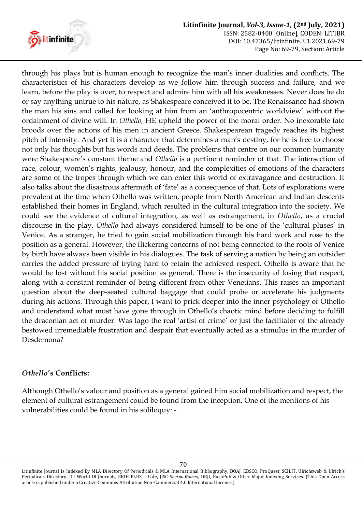

through his plays but is human enough to recognize the man's inner dualities and conflicts. The characteristics of his characters develop as we follow him through success and failure, and we learn, before the play is over, to respect and admire him with all his weaknesses. Never does he do or say anything untrue to his nature, as Shakespeare conceived it to be. The Renaissance had shown the man his sins and called for looking at him from an ‗anthropocentric worldview' without the ordainment of divine will. In *Othello,* HE upheld the power of the moral order. No inexorable fate broods over the actions of his men in ancient Greece. Shakespearean tragedy reaches its highest pitch of intensity. And yet it is a character that determines a man's destiny, for he is free to choose not only his thoughts but his words and deeds. The problems that centre on our common humanity were Shakespeare's constant theme and *Othello* is a pertinent reminder of that. The intersection of race, colour, women's rights, jealousy, honour, and the complexities of emotions of the characters are some of the tropes through which we can enter this world of extravagance and destruction. It also talks about the disastrous aftermath of 'fate' as a consequence of that. Lots of explorations were prevalent at the time when Othello was written, people from North American and Indian descents established their homes in England, which resulted in the cultural integration into the society. We could see the evidence of cultural integration, as well as estrangement, in *Othello*, as a crucial discourse in the play. *Othello* had always considered himself to be one of the 'cultural pluses' in Venice. As a stranger, he tried to gain social mobilization through his hard work and rose to the position as a general. However, the flickering concerns of not being connected to the roots of Venice by birth have always been visible in his dialogues. The task of serving a nation by being an outsider carries the added pressure of trying hard to retain the achieved respect. Othello is aware that he would be lost without his social position as general. There is the insecurity of losing that respect, along with a constant reminder of being different from other Venetians. This raises an important question about the deep-seated cultural baggage that could probe or accelerate his judgments during his actions. Through this paper, I want to prick deeper into the inner psychology of Othello and understand what must have gone through in Othello's chaotic mind before deciding to fulfill the draconian act of murder. Was Iago the real 'artist of crime' or just the facilitator of the already bestowed irremediable frustration and despair that eventually acted as a stimulus in the murder of Desdemona?

# *Othello***'s Conflicts:**

Although Othello's valour and position as a general gained him social mobilization and respect, the element of cultural estrangement could be found from the inception. One of the mentions of his vulnerabilities could be found in his soliloquy: -

Litinfinite Journal Is Indexed By MLA Directory Of Periodicals & MLA International Bibliography, DOAJ, EBSCO, ProQuest, SCILIT, Ulrichsweb & Ulrich's Periodicals Directory, ICI World Of Journals, ERIH PLUS, J-Gate, JISC-*Sherpa Romeo*, DRJI, EuroPub & Other Major Indexing Services. (This Open Access article is published under a Creative Commons Attribution Non-Commercial 4.0 International License.)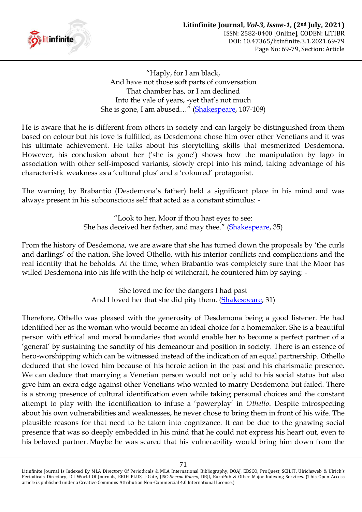

―Haply, for I am black, And have not those soft parts of conversation That chamber has, or I am declined Into the vale of years, -yet that's not much She is gone, I am abused..." [\(Shakespeare,](#page-9-0) 107-109)

He is aware that he is different from others in society and can largely be distinguished from them based on colour but his love is fulfilled, as Desdemona chose him over other Venetians and it was his ultimate achievement. He talks about his storytelling skills that mesmerized Desdemona. However, his conclusion about her ('she is gone') shows how the manipulation by Iago in association with other self-imposed variants, slowly crept into his mind, taking advantage of his characteristic weakness as a 'cultural plus' and a 'coloured' protagonist.

The warning by Brabantio (Desdemona's father) held a significant place in his mind and was always present in his subconscious self that acted as a constant stimulus: -

> ―Look to her, Moor if thou hast eyes to see: She has deceived her father, and may thee." [\(Shakespeare,](#page-9-0) 35)

From the history of Desdemona, we are aware that she has turned down the proposals by 'the curls and darlings' of the nation. She loved Othello, with his interior conflicts and complications and the real identity that he beholds. At the time, when Brabantio was completely sure that the Moor has willed Desdemona into his life with the help of witchcraft, he countered him by saying: -

> She loved me for the dangers I had past And I loved her that she did pity them. [\(Shakespeare,](#page-9-0) 31)

Therefore, Othello was pleased with the generosity of Desdemona being a good listener. He had identified her as the woman who would become an ideal choice for a homemaker. She is a beautiful person with ethical and moral boundaries that would enable her to become a perfect partner of a ‗general' by sustaining the sanctity of his demeanour and position in society. There is an essence of hero-worshipping which can be witnessed instead of the indication of an equal partnership. Othello deduced that she loved him because of his heroic action in the past and his charismatic presence. We can deduce that marrying a Venetian person would not only add to his social status but also give him an extra edge against other Venetians who wanted to marry Desdemona but failed. There is a strong presence of cultural identification even while taking personal choices and the constant attempt to play with the identification to infuse a ‗powerplay' in *Othello*. Despite introspecting about his own vulnerabilities and weaknesses, he never chose to bring them in front of his wife. The plausible reasons for that need to be taken into cognizance. It can be due to the gnawing social presence that was so deeply embedded in his mind that he could not express his heart out, even to his beloved partner. Maybe he was scared that his vulnerability would bring him down from the

Litinfinite Journal Is Indexed By MLA Directory Of Periodicals & MLA International Bibliography, DOAJ, EBSCO, ProQuest, SCILIT, Ulrichsweb & Ulrich's Periodicals Directory, ICI World Of Journals, ERIH PLUS, J-Gate, JISC-*Sherpa Romeo*, DRJI, EuroPub & Other Major Indexing Services. (This Open Access article is published under a Creative Commons Attribution Non-Commercial 4.0 International License.)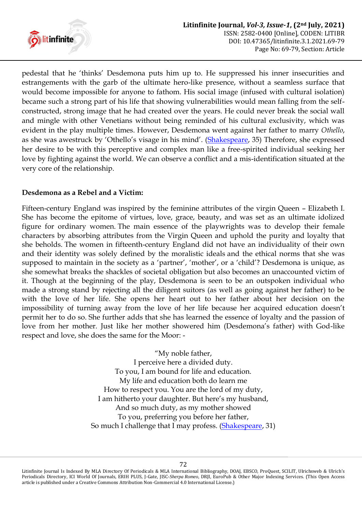

pedestal that he 'thinks' Desdemona puts him up to. He suppressed his inner insecurities and estrangements with the garb of the ultimate hero-like presence, without a seamless surface that would become impossible for anyone to fathom. His social image (infused with cultural isolation) became such a strong part of his life that showing vulnerabilities would mean falling from the selfconstructed, strong image that he had created over the years. He could never break the social wall and mingle with other Venetians without being reminded of his cultural exclusivity, which was evident in the play multiple times. However, Desdemona went against her father to marry *Othello*, as she was awestruck by 'Othello's visage in his mind'. ([Shakespeare,](#page-9-0) 35) Therefore, she expressed her desire to be with this perceptive and complex man like a free-spirited individual seeking her love by fighting against the world. We can observe a conflict and a mis-identification situated at the very core of the relationship.

# **Desdemona as a Rebel and a Victim:**

Fifteen-century England was inspired by the feminine attributes of the virgin Queen – Elizabeth I. She has become the epitome of virtues, love, grace, beauty, and was set as an ultimate idolized figure for ordinary women. The main essence of the playwrights was to develop their female characters by absorbing attributes from the Virgin Queen and uphold the purity and loyalty that she beholds. The women in fifteenth-century England did not have an individuality of their own and their identity was solely defined by the moralistic ideals and the ethical norms that she was supposed to maintain in the society as a 'partner', 'mother', or a 'child'? Desdemona is unique, as she somewhat breaks the shackles of societal obligation but also becomes an unaccounted victim of it. Though at the beginning of the play, Desdemona is seen to be an outspoken individual who made a strong stand by rejecting all the diligent suitors (as well as going against her father) to be with the love of her life. She opens her heart out to her father about her decision on the impossibility of turning away from the love of her life because her acquired education doesn't permit her to do so. She further adds that she has learned the essence of loyalty and the passion of love from her mother. Just like her mother showered him (Desdemona's father) with God-like respect and love, she does the same for the Moor: -

> "My noble father, I perceive here a divided duty. To you, I am bound for life and education. My life and education both do learn me How to respect you. You are the lord of my duty, I am hitherto your daughter. But here's my husband, And so much duty, as my mother showed To you, preferring you before her father, So much I challenge that I may profess. [\(Shakespeare,](#page-9-0) 31)

Litinfinite Journal Is Indexed By MLA Directory Of Periodicals & MLA International Bibliography, DOAJ, EBSCO, ProQuest, SCILIT, Ulrichsweb & Ulrich's Periodicals Directory, ICI World Of Journals, ERIH PLUS, J-Gate, JISC-*Sherpa Romeo*, DRJI, EuroPub & Other Major Indexing Services. (This Open Access article is published under a Creative Commons Attribution Non-Commercial 4.0 International License.)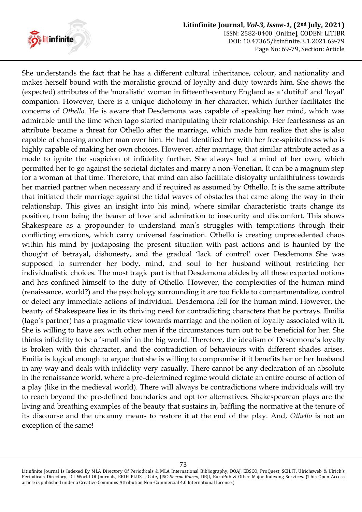

She understands the fact that he has a different cultural inheritance, colour, and nationality and makes herself bound with the moralistic ground of loyalty and duty towards him. She shows the (expected) attributes of the 'moralistic' woman in fifteenth-century England as a ‗dutiful' and ‗loyal' companion. However, there is a unique dichotomy in her character, which further facilitates the concerns of *Othello*. He is aware that Desdemona was capable of speaking her mind, which was admirable until the time when Iago started manipulating their relationship. Her fearlessness as an attribute became a threat for Othello after the marriage, which made him realize that she is also capable of choosing another man over him. He had identified her with her free-spiritedness who is highly capable of making her own choices. However, after marriage, that similar attribute acted as a mode to ignite the suspicion of infidelity further. She always had a mind of her own, which permitted her to go against the societal dictates and marry a non-Venetian. It can be a magnum step for a woman at that time. Therefore, that mind can also facilitate disloyalty unfaithfulness towards her married partner when necessary and if required as assumed by Othello. It is the same attribute that initiated their marriage against the tidal waves of obstacles that came along the way in their relationship. This gives an insight into his mind, where similar characteristic traits change its position, from being the bearer of love and admiration to insecurity and discomfort. This shows Shakespeare as a propounder to understand man's struggles with temptations through their conflicting emotions, which carry universal fascination. Othello is creating unprecedented chaos within his mind by juxtaposing the present situation with past actions and is haunted by the thought of betrayal, dishonesty, and the gradual 'lack of control' over Desdemona. She was supposed to surrender her body, mind, and soul to her husband without restricting her individualistic choices. The most tragic part is that Desdemona abides by all these expected notions and has confined himself to the duty of Othello. However, the complexities of the human mind (renaissance, world?) and the psychology surrounding it are too fickle to compartmentalize, control or detect any immediate actions of individual. Desdemona fell for the human mind. However, the beauty of Shakespeare lies in its thriving need for contradicting characters that he portrays. Emilia (Iago's partner) has a pragmatic view towards marriage and the notion of loyalty associated with it. She is willing to have sex with other men if the circumstances turn out to be beneficial for her. She thinks infidelity to be a 'small sin' in the big world. Therefore, the idealism of Desdemona's loyalty is broken with this character, and the contradiction of behaviours with different shades arises. Emilia is logical enough to argue that she is willing to compromise if it benefits her or her husband in any way and deals with infidelity very casually. There cannot be any declaration of an absolute in the renaissance world, where a pre-determined regime would dictate an entire course of action of a play (like in the medieval world). There will always be contradictions where individuals will try to reach beyond the pre-defined boundaries and opt for alternatives. Shakespearean plays are the living and breathing examples of the beauty that sustains in, baffling the normative at the tenure of its discourse and the uncanny means to restore it at the end of the play. And, *Othello* is not an exception of the same!

Litinfinite Journal Is Indexed By MLA Directory Of Periodicals & MLA International Bibliography, DOAJ, EBSCO, ProQuest, SCILIT, Ulrichsweb & Ulrich's Periodicals Directory, ICI World Of Journals, ERIH PLUS, J-Gate, JISC-*Sherpa Romeo*, DRJI, EuroPub & Other Major Indexing Services. (This Open Access article is published under a Creative Commons Attribution Non-Commercial 4.0 International License.)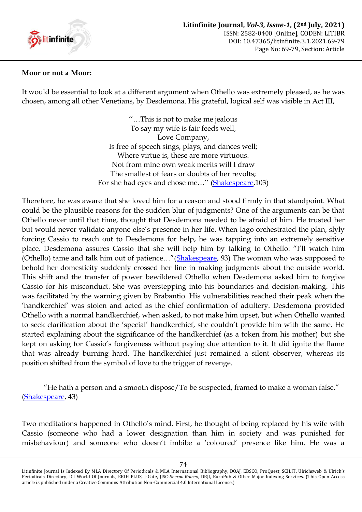

#### **Moor or not a Moor:**

It would be essential to look at a different argument when Othello was extremely pleased, as he was chosen, among all other Venetians, by Desdemona. His grateful, logical self was visible in Act III,

> ‗‗…This is not to make me jealous To say my wife is fair feeds well, Love Company, Is free of speech sings, plays, and dances well; Where virtue is, these are more virtuous. Not from mine own weak merits will I draw The smallest of fears or doubts of her revolts; For she had eyes and chose me…'' [\(Shakespeare,](#page-9-0)103)

Therefore, he was aware that she loved him for a reason and stood firmly in that standpoint. What could be the plausible reasons for the sudden blur of judgments? One of the arguments can be that Othello never until that time, thought that Desdemona needed to be afraid of him. He trusted her but would never validate anyone else's presence in her life. When Iago orchestrated the plan, slyly forcing Cassio to reach out to Desdemona for help, he was tapping into an extremely sensitive place. Desdemona assures Cassio that she will help him by talking to Othello: "I'll watch him (Othello) tame and talk him out of patience..."([Shakespeare,](#page-9-0) 93) The woman who was supposed to behold her domesticity suddenly crossed her line in making judgments about the outside world. This shift and the transfer of power bewildered Othello when Desdemona asked him to forgive Cassio for his misconduct. She was overstepping into his boundaries and decision-making. This was facilitated by the warning given by Brabantio. His vulnerabilities reached their peak when the ‗handkerchief' was stolen and acted as the chief confirmation of adultery. Desdemona provided Othello with a normal handkerchief, when asked, to not make him upset, but when Othello wanted to seek clarification about the 'special' handkerchief, she couldn't provide him with the same. He started explaining about the significance of the handkerchief (as a token from his mother) but she kept on asking for Cassio's forgiveness without paying due attention to it. It did ignite the flame that was already burning hard. The handkerchief just remained a silent observer, whereas its position shifted from the symbol of love to the trigger of revenge.

"He hath a person and a smooth dispose/To be suspected, framed to make a woman false." [\(Shakespeare,](#page-9-0) 43)

Two meditations happened in Othello's mind. First, he thought of being replaced by his wife with Cassio (someone who had a lower designation than him in society and was punished for misbehaviour) and someone who doesn't imbibe a 'coloured' presence like him. He was a

Litinfinite Journal Is Indexed By MLA Directory Of Periodicals & MLA International Bibliography, DOAJ, EBSCO, ProQuest, SCILIT, Ulrichsweb & Ulrich's Periodicals Directory, ICI World Of Journals, ERIH PLUS, J-Gate, JISC-*Sherpa Romeo*, DRJI, EuroPub & Other Major Indexing Services. (This Open Access article is published under a Creative Commons Attribution Non-Commercial 4.0 International License.)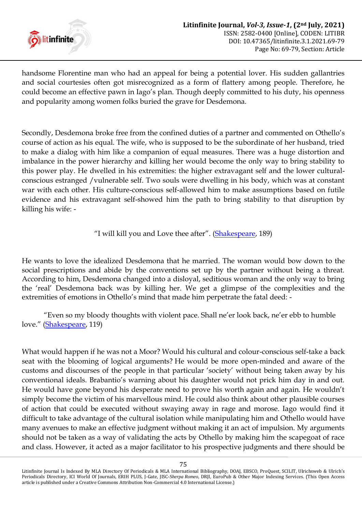

handsome Florentine man who had an appeal for being a potential lover. His sudden gallantries and social courtesies often got misrecognized as a form of flattery among people. Therefore, he could become an effective pawn in Iago's plan. Though deeply committed to his duty, his openness and popularity among women folks buried the grave for Desdemona.

Secondly, Desdemona broke free from the confined duties of a partner and commented on Othello's course of action as his equal. The wife, who is supposed to be the subordinate of her husband, tried to make a dialog with him like a companion of equal measures. There was a huge distortion and imbalance in the power hierarchy and killing her would become the only way to bring stability to this power play. He dwelled in his extremities: the higher extravagant self and the lower culturalconscious estranged /vulnerable self. Two souls were dwelling in his body, which was at constant war with each other. His culture-conscious self-allowed him to make assumptions based on futile evidence and his extravagant self-showed him the path to bring stability to that disruption by killing his wife: -

"I will kill you and Love thee after". ([Shakespeare,](#page-9-0) 189)

He wants to love the idealized Desdemona that he married. The woman would bow down to the social prescriptions and abide by the conventions set up by the partner without being a threat. According to him, Desdemona changed into a disloyal, seditious woman and the only way to bring the 'real' Desdemona back was by killing her. We get a glimpse of the complexities and the extremities of emotions in Othello's mind that made him perpetrate the fatal deed: -

―Even so my bloody thoughts with violent pace. Shall ne'er look back, ne'er ebb to humble love." ([Shakespeare,](#page-9-0) 119)

What would happen if he was not a Moor? Would his cultural and colour-conscious self-take a back seat with the blooming of logical arguments? He would be more open-minded and aware of the customs and discourses of the people in that particular 'society' without being taken away by his conventional ideals. Brabantio's warning about his daughter would not prick him day in and out. He would have gone beyond his desperate need to prove his worth again and again. He wouldn't simply become the victim of his marvellous mind. He could also think about other plausible courses of action that could be executed without swaying away in rage and morose. Iago would find it difficult to take advantage of the cultural isolation while manipulating him and Othello would have many avenues to make an effective judgment without making it an act of impulsion. My arguments should not be taken as a way of validating the acts by Othello by making him the scapegoat of race and class. However, it acted as a major facilitator to his prospective judgments and there should be

Litinfinite Journal Is Indexed By MLA Directory Of Periodicals & MLA International Bibliography, DOAJ, EBSCO, ProQuest, SCILIT, Ulrichsweb & Ulrich's Periodicals Directory, ICI World Of Journals, ERIH PLUS, J-Gate, JISC-*Sherpa Romeo*, DRJI, EuroPub & Other Major Indexing Services. (This Open Access article is published under a Creative Commons Attribution Non-Commercial 4.0 International License.)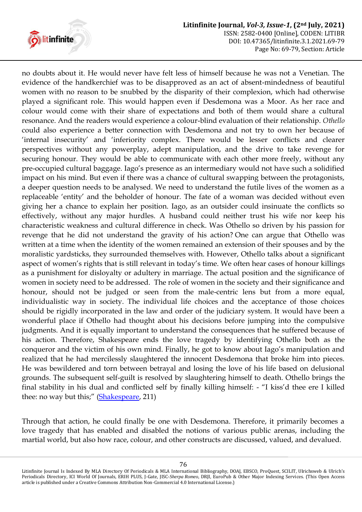

no doubts about it. He would never have felt less of himself because he was not a Venetian. The evidence of the handkerchief was to be disapproved as an act of absent-mindedness of beautiful women with no reason to be snubbed by the disparity of their complexion, which had otherwise played a significant role. This would happen even if Desdemona was a Moor. As her race and colour would come with their share of expectations and both of them would share a cultural resonance. And the readers would experience a colour-blind evaluation of their relationship. *Othello* could also experience a better connection with Desdemona and not try to own her because of 'internal insecurity' and 'inferiority complex. There would be lesser conflicts and clearer perspectives without any powerplay, adept manipulation, and the drive to take revenge for securing honour. They would be able to communicate with each other more freely, without any pre-occupied cultural baggage. Iago's presence as an intermediary would not have such a solidified impact on his mind. But even if there was a chance of cultural swapping between the protagonists, a deeper question needs to be analysed. We need to understand the futile lives of the women as a replaceable 'entity' and the beholder of honour. The fate of a woman was decided without even giving her a chance to explain her position. Iago, as an outsider could insinuate the conflicts so effectively, without any major hurdles. A husband could neither trust his wife nor keep his characteristic weakness and cultural difference in check. Was Othello so driven by his passion for revenge that he did not understand the gravity of his action? One can argue that Othello was written at a time when the identity of the women remained an extension of their spouses and by the moralistic yardsticks, they surrounded themselves with. However, Othello talks about a significant aspect of women's rights that is still relevant in today's time. We often hear cases of honour killings as a punishment for disloyalty or adultery in marriage. The actual position and the significance of women in society need to be addressed. The role of women in the society and their significance and honour, should not be judged or seen from the male-centric lens but from a more equal, individualistic way in society. The individual life choices and the acceptance of those choices should be rigidly incorporated in the law and order of the judiciary system. It would have been a wonderful place if Othello had thought about his decisions before jumping into the compulsive judgments. And it is equally important to understand the consequences that he suffered because of his action. Therefore, Shakespeare ends the love tragedy by identifying Othello both as the conqueror and the victim of his own mind. Finally, he got to know about Iago's manipulation and realized that he had mercilessly slaughtered the innocent Desdemona that broke him into pieces. He was bewildered and torn between betrayal and losing the love of his life based on delusional grounds. The subsequent self-guilt is resolved by slaughtering himself to death. Othello brings the final stability in his dual and conflicted self by finally killing himself: - "I kiss'd thee ere I killed thee: no way but this;" ([Shakespeare,](#page-9-0) 211)

Through that action, he could finally be one with Desdemona. Therefore, it primarily becomes a love tragedy that has enabled and disabled the notions of various public arenas, including the martial world, but also how race, colour, and other constructs are discussed, valued, and devalued.

Litinfinite Journal Is Indexed By MLA Directory Of Periodicals & MLA International Bibliography, DOAJ, EBSCO, ProQuest, SCILIT, Ulrichsweb & Ulrich's Periodicals Directory, ICI World Of Journals, ERIH PLUS, J-Gate, JISC-*Sherpa Romeo*, DRJI, EuroPub & Other Major Indexing Services. (This Open Access article is published under a Creative Commons Attribution Non-Commercial 4.0 International License.)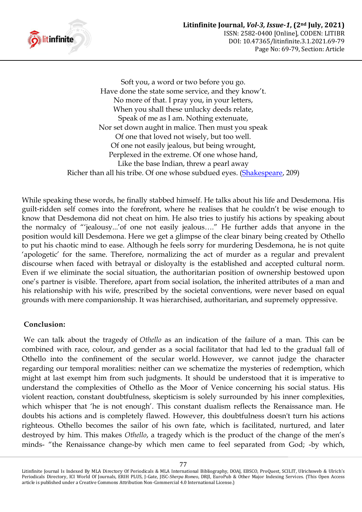

Soft you, a word or two before you go. Have done the state some service, and they know't. No more of that. I pray you, in your letters, When you shall these unlucky deeds relate, Speak of me as I am. Nothing extenuate, Nor set down aught in malice. Then must you speak Of one that loved not wisely, but too well. Of one not easily jealous, but being wrought, Perplexed in the extreme. Of one whose hand, Like the base Indian, threw a pearl away Richer than all his tribe. Of one whose subdued eyes. [\(Shakespeare,](#page-9-0) 209)

While speaking these words, he finally stabbed himself. He talks about his life and Desdemona. His guilt-ridden self comes into the forefront, where he realises that he couldn't be wise enough to know that Desdemona did not cheat on him. He also tries to justify his actions by speaking about the normalcy of "'jealousy...'of one not easily jealous...." He further adds that anyone in the position would kill Desdemona. Here we get a glimpse of the clear binary being created by Othello to put his chaotic mind to ease. Although he feels sorry for murdering Desdemona, he is not quite 'apologetic' for the same. Therefore, normalizing the act of murder as a regular and prevalent discourse when faced with betrayal or disloyalty is the established and accepted cultural norm. Even if we eliminate the social situation, the authoritarian position of ownership bestowed upon one's partner is visible. Therefore, apart from social isolation, the inherited attributes of a man and his relationship with his wife, prescribed by the societal conventions, were never based on equal grounds with mere companionship. It was hierarchised, authoritarian, and supremely oppressive.

## **Conclusion:**

We can talk about the tragedy of *Othello* as an indication of the failure of a man. This can be combined with race, colour, and gender as a social facilitator that had led to the gradual fall of Othello into the confinement of the secular world. However, we cannot judge the character regarding our temporal moralities: neither can we schematize the mysteries of redemption, which might at last exempt him from such judgments. It should be understood that it is imperative to understand the complexities of Othello as the Moor of Venice concerning his social status. His violent reaction, constant doubtfulness, skepticism is solely surrounded by his inner complexities, which whisper that 'he is not enough'. This constant dualism reflects the Renaissance man. He doubts his actions and is completely flawed. However, this doubtfulness doesn't turn his actions righteous. Othello becomes the sailor of his own fate, which is facilitated, nurtured, and later destroyed by him. This makes *Othello*, a tragedy which is the product of the change of the men's minds- "the Renaissance change-by which men came to feel separated from God; -by which,

Litinfinite Journal Is Indexed By MLA Directory Of Periodicals & MLA International Bibliography, DOAJ, EBSCO, ProQuest, SCILIT, Ulrichsweb & Ulrich's Periodicals Directory, ICI World Of Journals, ERIH PLUS, J-Gate, JISC-*Sherpa Romeo*, DRJI, EuroPub & Other Major Indexing Services. (This Open Access article is published under a Creative Commons Attribution Non-Commercial 4.0 International License.)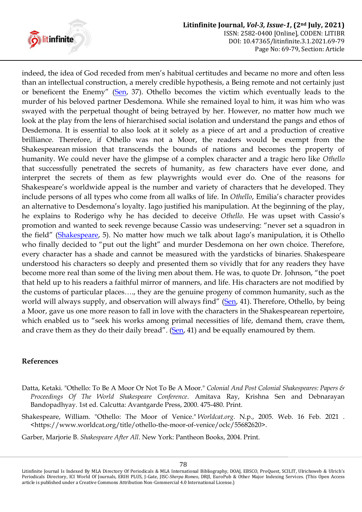

indeed, the idea of God receded from men's habitual certitudes and became no more and often less than an intellectual construction, a merely credible hypothesis, a Being remote and not certainly just or beneficent the Enemy" ([Sen,](#page-10-0) 37). Othello becomes the victim which eventually leads to the murder of his beloved partner Desdemona. While she remained loyal to him, it was him who was swayed with the perpetual thought of being betrayed by her. However, no matter how much we look at the play from the lens of hierarchised social isolation and understand the pangs and ethos of Desdemona. It is essential to also look at it solely as a piece of art and a production of creative brilliance. Therefore, if Othello was not a Moor, the readers would be exempt from the Shakespearean mission that transcends the bounds of nations and becomes the property of humanity. We could never have the glimpse of a complex character and a tragic hero like *Othello* that successfully penetrated the secrets of humanity, as few characters have ever done, and interpret the secrets of them as few playwrights would ever do. One of the reasons for Shakespeare's worldwide appeal is the number and variety of characters that he developed. They include persons of all types who come from all walks of life. In *Othello*, Emilia's character provides an alternative to Desdemona's loyalty. Iago justified his manipulation. At the beginning of the play, he explains to Roderigo why he has decided to deceive *Othello*. He was upset with Cassio's promotion and wanted to seek revenge because Cassio was undeserving: "never set a squadron in the field" ([Shakespeare,](#page-9-0) 5). No matter how much we talk about Iago's manipulation, it is Othello who finally decided to "put out the light" and murder Desdemona on her own choice. Therefore, every character has a shade and cannot be measured with the yardsticks of binaries. Shakespeare understood his characters so deeply and presented them so vividly that for any readers they have become more real than some of the living men about them. He was, to quote Dr. Johnson, "the poet that held up to his readers a faithful mirror of manners, and life. His characters are not modified by the customs of particular places…., they are the genuine progeny of common humanity, such as the world will always supply, and observation will always find" ([Sen,](#page-10-0) 41). Therefore, Othello, by being a Moor, gave us one more reason to fall in love with the characters in the Shakespearean repertoire, which enabled us to "seek his works among primal necessities of life, demand them, crave them, and crave them as they do their daily bread". ([Sen,](#page-10-0) 41) and be equally enamoured by them.

## **References**

- Datta, Ketaki. "Othello: To Be A Moor Or Not To Be A Moor." *Colonial And Post Colonial Shakespeares: Papers & Proceedings Of The World Shakespeare Conference*. Amitava Ray, Krishna Sen and Debnarayan Bandopadhyay. 1st ed. Calcutta: Avantgarde Press, 2000. 475-480. Print.
- <span id="page-9-0"></span>Shakespeare, William. "Othello: The Moor of Venice." *Worldcat.org*. N.p., 2005. Web. 16 Feb. 2021 . <https://www.worldcat.org/title/othello-the-moor-of-venice/oclc/55682620>.

Garber, Marjorie B. *Shakespeare After All*. New York: Pantheon Books, 2004. Print.

Litinfinite Journal Is Indexed By MLA Directory Of Periodicals & MLA International Bibliography, DOAJ, EBSCO, ProQuest, SCILIT, Ulrichsweb & Ulrich's Periodicals Directory, ICI World Of Journals, ERIH PLUS, J-Gate, JISC-*Sherpa Romeo*, DRJI, EuroPub & Other Major Indexing Services. (This Open Access article is published under a Creative Commons Attribution Non-Commercial 4.0 International License.)